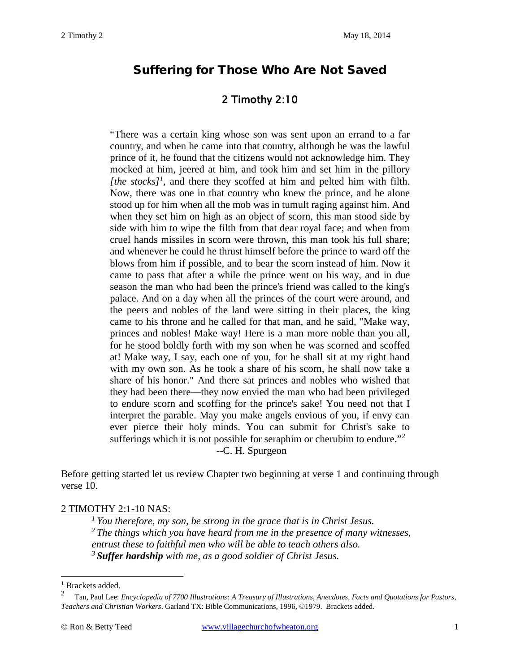# Suffering for Those Who Are Not Saved

## 2 Timothy 2:10

"There was a certain king whose son was sent upon an errand to a far country, and when he came into that country, although he was the lawful prince of it, he found that the citizens would not acknowledge him. They mocked at him, jeered at him, and took him and set him in the pillory *[the stocks]<sup>[1](#page-0-0)</sup>*, and there they scoffed at him and pelted him with filth. Now, there was one in that country who knew the prince, and he alone stood up for him when all the mob was in tumult raging against him. And when they set him on high as an object of scorn, this man stood side by side with him to wipe the filth from that dear royal face; and when from cruel hands missiles in scorn were thrown, this man took his full share; and whenever he could he thrust himself before the prince to ward off the blows from him if possible, and to bear the scorn instead of him. Now it came to pass that after a while the prince went on his way, and in due season the man who had been the prince's friend was called to the king's palace. And on a day when all the princes of the court were around, and the peers and nobles of the land were sitting in their places, the king came to his throne and he called for that man, and he said, "Make way, princes and nobles! Make way! Here is a man more noble than you all, for he stood boldly forth with my son when he was scorned and scoffed at! Make way, I say, each one of you, for he shall sit at my right hand with my own son. As he took a share of his scorn, he shall now take a share of his honor." And there sat princes and nobles who wished that they had been there—they now envied the man who had been privileged to endure scorn and scoffing for the prince's sake! You need not that I interpret the parable. May you make angels envious of you, if envy can ever pierce their holy minds. You can submit for Christ's sake to sufferings which it is not possible for seraphim or cherubim to endure."<sup>[2](#page-0-1)</sup> --C. H. Spurgeon

Before getting started let us review Chapter two beginning at verse 1 and continuing through verse 10.

#### 2 TIMOTHY 2:1-10 NAS:

*1 You therefore, my son, be strong in the grace that is in Christ Jesus.* 

*2 The things which you have heard from me in the presence of many witnesses,* 

*entrust these to faithful men who will be able to teach others also.* 

*<sup>3</sup>Suffer hardship with me, as a good soldier of Christ Jesus.*

<span id="page-0-0"></span> $\frac{1}{2}$  Brackets added.

<span id="page-0-1"></span><sup>2</sup> Tan, Paul Lee: *Encyclopedia of 7700 Illustrations: A Treasury of Illustrations, Anecdotes, Facts and Quotations for Pastors, Teachers and Christian Workers*. Garland TX: Bible Communications, 1996, ©1979. Brackets added.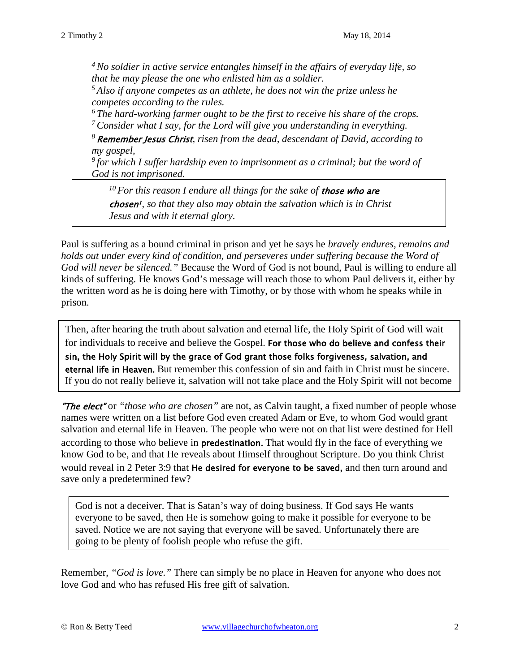*4 No soldier in active service entangles himself in the affairs of everyday life, so that he may please the one who enlisted him as a soldier.* 

*5 Also if anyone competes as an athlete, he does not win the prize unless he competes according to the rules.* 

*6 The hard-working farmer ought to be the first to receive his share of the crops. 7 Consider what I say, for the Lord will give you understanding in everything.* 

*<sup>8</sup>*Remember Jesus Christ*, risen from the dead, descendant of David, according to my gospel,* 

*9 for which I suffer hardship even to imprisonment as a criminal; but the word of God is not imprisoned.* 

*10 For this reason I endure all things for the sake of* those who are chosen<sup>1</sup>, so that they also may obtain the salvation which is in Christ *Jesus and with it eternal glory.*

Paul is suffering as a bound criminal in prison and yet he says he *bravely endures, remains and holds out under every kind of condition, and perseveres under suffering because the Word of God will never be silenced."* Because the Word of God is not bound, Paul is willing to endure all kinds of suffering. He knows God's message will reach those to whom Paul delivers it, either by the written word as he is doing here with Timothy, or by those with whom he speaks while in prison.

 Then, after hearing the truth about salvation and eternal life, the Holy Spirit of God will wait for individuals to receive and believe the Gospel. For those who do believe and confess their sin, the Holy Spirit will by the grace of God grant those folks forgiveness, salvation, and eternal life in Heaven. But remember this confession of sin and faith in Christ must be sincere. If you do not really believe it, salvation will not take place and the Holy Spirit will not become

"The elect" or *"those who are chosen"* are not, as Calvin taught, a fixed number of people whose names were written on a list before God even created Adam or Eve, to whom God would grant salvation and eternal life in Heaven. The people who were not on that list were destined for Hell according to those who believe in predestination. That would fly in the face of everything we know God to be, and that He reveals about Himself throughout Scripture. Do you think Christ would reveal in 2 Peter 3:9 that He desired for everyone to be saved, and then turn around and save only a predetermined few?

God is not a deceiver. That is Satan's way of doing business. If God says He wants everyone to be saved, then He is somehow going to make it possible for everyone to be saved. Notice we are not saying that everyone will be saved. Unfortunately there are going to be plenty of foolish people who refuse the gift.

Remember, *"God is love."* There can simply be no place in Heaven for anyone who does not love God and who has refused His free gift of salvation.

Ī

j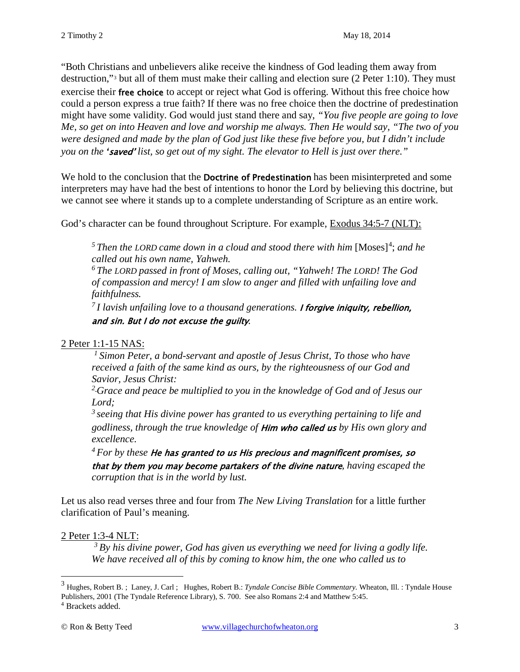"Both Christians and unbelievers alike receive the kindness of God leading them away from destruction,"[3](#page-2-0) but all of them must make their calling and election sure (2 [Peter 1:10\)](http://www.crossbooks.com/verse.asp?ref=2Pe+1%3A10). They must exercise their free choice to accept or reject what God is offering. Without this free choice how could a person express a true faith? If there was no free choice then the doctrine of predestination might have some validity. God would just stand there and say, *"You five people are going to love Me, so get on into Heaven and love and worship me always. Then He would say, "The two of you were designed and made by the plan of God just like these five before you, but I didn't include you on the '*saved' *list, so get out of my sight. The elevator to Hell is just over there."*

We hold to the conclusion that the **Doctrine of Predestination** has been misinterpreted and some interpreters may have had the best of intentions to honor the Lord by believing this doctrine, but we cannot see where it stands up to a complete understanding of Scripture as an entire work.

God's character can be found throughout Scripture. For example, Exodus 34:5-7 (NLT):

<sup>5</sup> Then the LORD came down in a cloud and stood there with him [Moses]<sup>[4](#page-2-1)</sup>; and he *called out his own name, Yahweh.* 

*6 The LORD passed in front of Moses, calling out, "Yahweh! The LORD! The God of compassion and mercy! I am slow to anger and filled with unfailing love and faithfulness.* 

*7 I lavish unfailing love to a thousand generations.* I forgive iniquity, rebellion, and sin. But I do not excuse the guilty*.*

#### 2 Peter 1:1-15 NAS:

*1 Simon Peter, a bond-servant and apostle of Jesus Christ, To those who have received a faith of the same kind as ours, by the righteousness of our God and Savior, Jesus Christ:* 

*<sup>2</sup> Grace and peace be multiplied to you in the knowledge of God and of Jesus our Lord;* 

*3 seeing that His divine power has granted to us everything pertaining to life and godliness, through the true knowledge of* Him who called us *by His own glory and excellence.* 

*4 For by these* He has granted to us His precious and magnificent promises, so that by them you may become partakers of the divine nature*, having escaped the corruption that is in the world by lust.* 

Let us also read verses three and four from *The New Living Translation* for a little further clarification of Paul's meaning.

#### 2 Peter 1:3-4 NLT:

*3 By his divine power, God has given us everything we need for living a godly life. We have received all of this by coming to know him, the one who called us to* 

<span id="page-2-0"></span><sup>3</sup> Hughes, Robert B. ; Laney, J. Carl ; Hughes, Robert B.: *Tyndale Concise Bible Commentary.* Wheaton, Ill. : Tyndale House Publishers, 2001 (The Tyndale Reference Library), S. 700. See also Romans 2:4 and Matthew 5:45.

<span id="page-2-1"></span><sup>4</sup> Brackets added.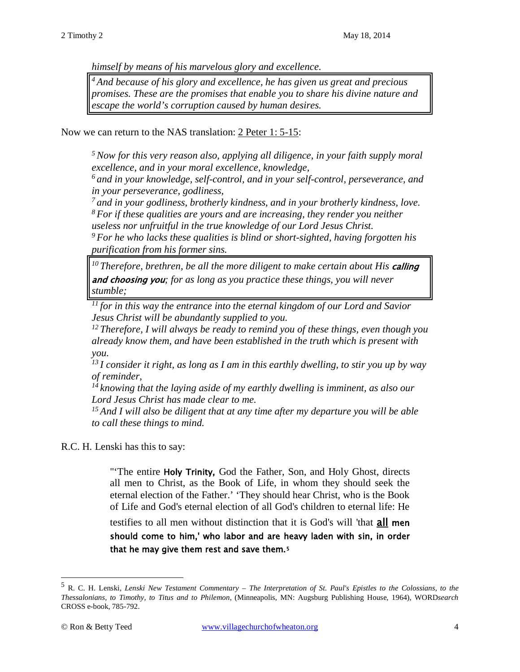*himself by means of his marvelous glory and excellence.* 

*4 And because of his glory and excellence, he has given us great and precious promises. These are the promises that enable you to share his divine nature and escape the world's corruption caused by human desires.* 

Now we can return to the NAS translation: 2 Peter 1: 5-15:

*5 Now for this very reason also, applying all diligence, in your faith supply moral excellence, and in your moral excellence, knowledge,* 

*6 and in your knowledge, self-control, and in your self-control, perseverance, and in your perseverance, godliness,* 

*7 and in your godliness, brotherly kindness, and in your brotherly kindness, love. 8 For if these qualities are yours and are increasing, they render you neither* 

*useless nor unfruitful in the true knowledge of our Lord Jesus Christ.* 

*9 For he who lacks these qualities is blind or short-sighted, having forgotten his purification from his former sins.* 

<sup>10</sup> Therefore, brethren, be all the more diligent to make certain about His **calling** and choosing you*; for as long as you practice these things, you will never stumble;* 

*11 for in this way the entrance into the eternal kingdom of our Lord and Savior Jesus Christ will be abundantly supplied to you.* 

*12 Therefore, I will always be ready to remind you of these things, even though you already know them, and have been established in the truth which is present with you.* 

*13 I consider it right, as long as I am in this earthly dwelling, to stir you up by way of reminder,* 

*14 knowing that the laying aside of my earthly dwelling is imminent, as also our Lord Jesus Christ has made clear to me.* 

*15 And I will also be diligent that at any time after my departure you will be able to call these things to mind.*

R.C. H. Lenski has this to say:

"'The entire Holy Trinity, God the Father, Son, and Holy Ghost, directs all men to Christ, as the Book of Life, in whom they should seek the eternal election of the Father.' 'They should hear Christ, who is the Book of Life and God's eternal election of all God's children to eternal life: He

testifies to all men without distinction that it is God's will 'that **all men** should come to him,' who labor and are heavy laden with sin, in order that he may give them rest and save them.[5](#page-3-0)

<span id="page-3-0"></span><sup>5</sup> R. C. H. Lenski, *Lenski New Testament Commentary – The Interpretation of St. Paul's Epistles to the Colossians, to the Thessalonians, to Timothy, to Titus and to Philemon*, (Minneapolis, MN: Augsburg Publishing House, 1964), WORD*search* CROSS e-book, 785-792.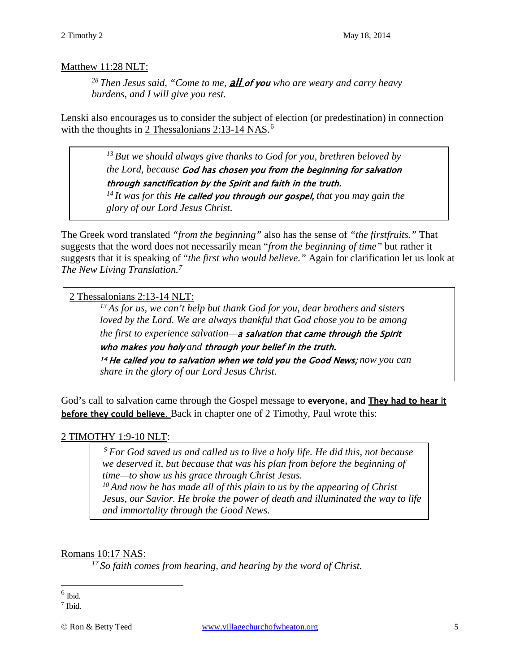#### Matthew 11:28 NLT:

*28 Then Jesus said, "Come to me,* all of you *who are weary and carry heavy burdens, and I will give you rest.* 

Lenski also encourages us to consider the subject of election (or predestination) in connection with the thoughts in 2 Thessalonians 2:13-14 NAS.<sup>[6](#page-4-0)</sup>

> *13 But we should always give thanks to God for you, brethren beloved by the Lord, because* God has chosen you from the beginning for salvation through sanctification by the Spirit and faith in the truth.

> *14 It was for this* He called you through our gospel, *that you may gain the glory of our Lord Jesus Christ.*

The Greek word translated *"from the beginning"* also has the sense of *"the firstfruits."* That suggests that the word does not necessarily mean "*from the beginning of time"* but rather it suggests that it is speaking of "*the first who would believe."* Again for clarification let us look at *The New Living Translation.[7](#page-4-1)*

2 Thessalonians 2:13-14 NLT:

*13 As for us, we can't help but thank God for you, dear brothers and sisters loved by the Lord. We are always thankful that God chose you to be among the first to experience salvation—*a salvation that came through the Spirit

who makes you holy *and* through your belief in the truth.

<sup>14</sup>He called you to salvation when we told you the Good News; *now you can share in the glory of our Lord Jesus Christ.*

God's call to salvation came through the Gospel message to everyone, and They had to hear it **before they could believe.** Back in chapter one of 2 Timothy, Paul wrote this:

## 2 TIMOTHY 1:9-10 NLT:

*9 For God saved us and called us to live a holy life. He did this, not because we deserved it, but because that was his plan from before the beginning of time—to show us his grace through Christ Jesus.*

*10 And now he has made all of this plain to us by the appearing of Christ Jesus, our Savior. He broke the power of death and illuminated the way to life and immortality through the Good News.*

## Romans 10:17 NAS:

*17 So faith comes from hearing, and hearing by the word of Christ.* 

<span id="page-4-0"></span> $6$  Ibid.

<span id="page-4-1"></span> $<sup>7</sup>$  Ibid.</sup>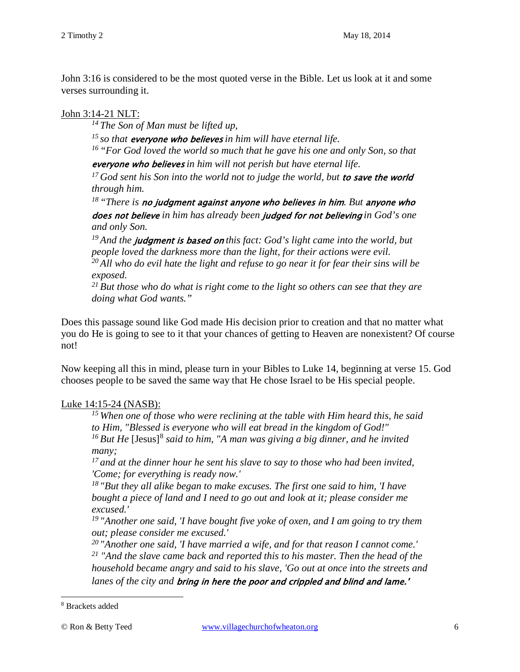John 3:16 is considered to be the most quoted verse in the Bible. Let us look at it and some verses surrounding it.

### John 3:14-21 NLT:

*14 The Son of Man must be lifted up,* 

*15 so that* everyone who believes *in him will have eternal life.* 

*16 "For God loved the world so much that he gave his one and only Son, so that*  everyone who believes *in him will not perish but have eternal life.* 

<sup>17</sup> God sent his Son into the world not to judge the world, but **to save the world** *through him.* 

*18 "There is* no judgment against anyone who believes in him*. But* anyone who does not believe *in him has already been* judged for not believing *in God's one and only Son.* 

<sup>19</sup> And the **judgment is based on** this fact: God's light came into the world, but *people loved the darkness more than the light, for their actions were evil. 20 All who do evil hate the light and refuse to go near it for fear their sins will be exposed.* 

*21 But those who do what is right come to the light so others can see that they are doing what God wants."* 

Does this passage sound like God made His decision prior to creation and that no matter what you do He is going to see to it that your chances of getting to Heaven are nonexistent? Of course not!

Now keeping all this in mind, please turn in your Bibles to Luke 14, beginning at verse 15. God chooses people to be saved the same way that He chose Israel to be His special people.

## Luke 14:15-24 (NASB):

*15 When one of those who were reclining at the table with Him heard this, he said to Him, "Blessed is everyone who will eat bread in the kingdom of God!"*  <sup>16</sup> But He [Jesus]<sup>[8](#page-5-0)</sup> said to him, "A man was giving a big dinner, and he invited *many;* 

*17 and at the dinner hour he sent his slave to say to those who had been invited, 'Come; for everything is ready now.'* 

*18 "But they all alike began to make excuses. The first one said to him, 'I have bought a piece of land and I need to go out and look at it; please consider me excused.'* 

*19 "Another one said, 'I have bought five yoke of oxen, and I am going to try them out; please consider me excused.'* 

*20 "Another one said, 'I have married a wife, and for that reason I cannot come.' <sup>21</sup> "And the slave came back and reported this to his master. Then the head of the household became angry and said to his slave, 'Go out at once into the streets and lanes of the city and* bring in here the poor and crippled and blind and lame.'

<span id="page-5-0"></span><sup>8</sup> Brackets added